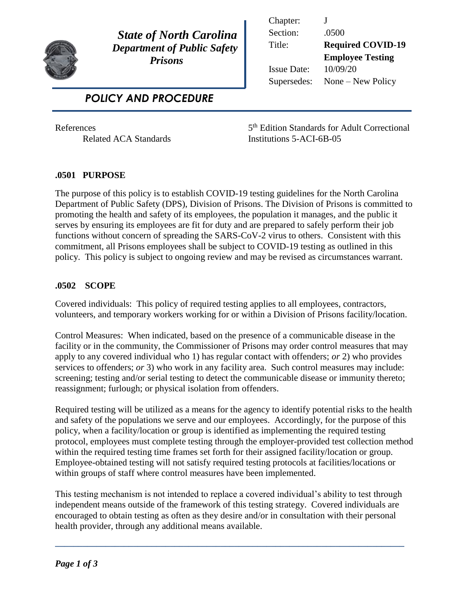

 *State of North Carolina Department of Public Safety Prisons* 

 *POLICY AND PROCEDURE*

Chapter: J Section: .0500 Title: **Required COVID-19 Employee Testing** Issue Date: 10/09/20 Supersedes: None – New Policy

**References** 

5<sup>th</sup> Edition Standards for Adult Correctional Related ACA Standards Institutions 5-ACI-6B-05

## **.0501 PURPOSE**

The purpose of this policy is to establish COVID-19 testing guidelines for the North Carolina Department of Public Safety (DPS), Division of Prisons. The Division of Prisons is committed to promoting the health and safety of its employees, the population it manages, and the public it serves by ensuring its employees are fit for duty and are prepared to safely perform their job functions without concern of spreading the SARS-CoV-2 virus to others. Consistent with this commitment, all Prisons employees shall be subject to COVID-19 testing as outlined in this policy. This policy is subject to ongoing review and may be revised as circumstances warrant.

## **.0502 SCOPE**

Covered individuals: This policy of required testing applies to all employees, contractors, volunteers, and temporary workers working for or within a Division of Prisons facility/location.

Control Measures: When indicated, based on the presence of a communicable disease in the facility or in the community, the Commissioner of Prisons may order control measures that may apply to any covered individual who 1) has regular contact with offenders; *or* 2) who provides services to offenders; *or* 3) who work in any facility area. Such control measures may include: screening; testing and/or serial testing to detect the communicable disease or immunity thereto; reassignment; furlough; or physical isolation from offenders.

Required testing will be utilized as a means for the agency to identify potential risks to the health and safety of the populations we serve and our employees. Accordingly, for the purpose of this policy, when a facility/location or group is identified as implementing the required testing protocol, employees must complete testing through the employer-provided test collection method within the required testing time frames set forth for their assigned facility/location or group. Employee-obtained testing will not satisfy required testing protocols at facilities/locations or within groups of staff where control measures have been implemented.

This testing mechanism is not intended to replace a covered individual's ability to test through independent means outside of the framework of this testing strategy. Covered individuals are encouraged to obtain testing as often as they desire and/or in consultation with their personal health provider, through any additional means available.

**\_\_\_\_\_\_\_\_\_\_\_\_\_\_\_\_\_\_\_\_\_\_\_\_\_\_\_\_\_\_\_\_\_\_\_\_\_\_\_\_\_\_\_\_\_\_\_\_\_\_\_\_\_\_\_\_\_\_\_\_\_\_\_\_\_\_\_\_\_\_\_\_\_\_\_\_**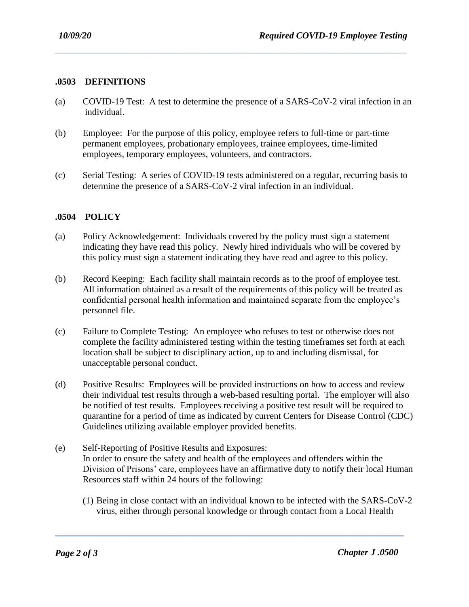## **.0503 DEFINITIONS**

(a) COVID-19 Test: A test to determine the presence of a SARS-CoV-2 viral infection in an individual.

*\_\_\_\_\_\_\_\_\_\_\_\_\_\_\_\_\_\_\_\_\_\_\_\_\_\_\_\_\_\_\_\_\_\_\_\_\_\_\_\_\_\_\_\_\_\_\_\_\_\_\_\_\_\_\_\_\_\_\_\_\_\_\_\_\_\_\_\_\_\_\_\_\_\_\_\_\_\_\_\_\_\_\_\_\_\_\_\_\_\_\_\_\_\_\_\_\_\_\_\_\_\_\_\_\_\_\_\_\_\_\_\_\_\_\_\_\_\_\_\_\_\_\_\_\_\_\_\_\_\_\_\_\_\_\_\_\_\_\_\_\_\_\_\_\_\_\_\_\_\_\_\_\_*

- (b) Employee: For the purpose of this policy, employee refers to full-time or part-time permanent employees, probationary employees, trainee employees, time-limited employees, temporary employees, volunteers, and contractors.
- (c) Serial Testing: A series of COVID-19 tests administered on a regular, recurring basis to determine the presence of a SARS-CoV-2 viral infection in an individual.

## **.0504 POLICY**

- (a) Policy Acknowledgement: Individuals covered by the policy must sign a statement indicating they have read this policy. Newly hired individuals who will be covered by this policy must sign a statement indicating they have read and agree to this policy.
- (b) Record Keeping: Each facility shall maintain records as to the proof of employee test. All information obtained as a result of the requirements of this policy will be treated as confidential personal health information and maintained separate from the employee's personnel file.
- (c) Failure to Complete Testing: An employee who refuses to test or otherwise does not complete the facility administered testing within the testing timeframes set forth at each location shall be subject to disciplinary action, up to and including dismissal, for unacceptable personal conduct.
- (d) Positive Results: Employees will be provided instructions on how to access and review their individual test results through a web-based resulting portal. The employer will also be notified of test results. Employees receiving a positive test result will be required to quarantine for a period of time as indicated by current Centers for Disease Control (CDC) Guidelines utilizing available employer provided benefits.
- (e) Self-Reporting of Positive Results and Exposures: In order to ensure the safety and health of the employees and offenders within the Division of Prisons' care, employees have an affirmative duty to notify their local Human Resources staff within 24 hours of the following:

**\_\_\_\_\_\_\_\_\_\_\_\_\_\_\_\_\_\_\_\_\_\_\_\_\_\_\_\_\_\_\_\_\_\_\_\_\_\_\_\_\_\_\_\_\_\_\_\_\_\_\_\_\_\_\_\_\_\_\_\_\_\_\_\_\_\_\_\_\_\_\_\_\_\_\_\_**

(1) Being in close contact with an individual known to be infected with the SARS-CoV-2 virus, either through personal knowledge or through contact from a Local Health